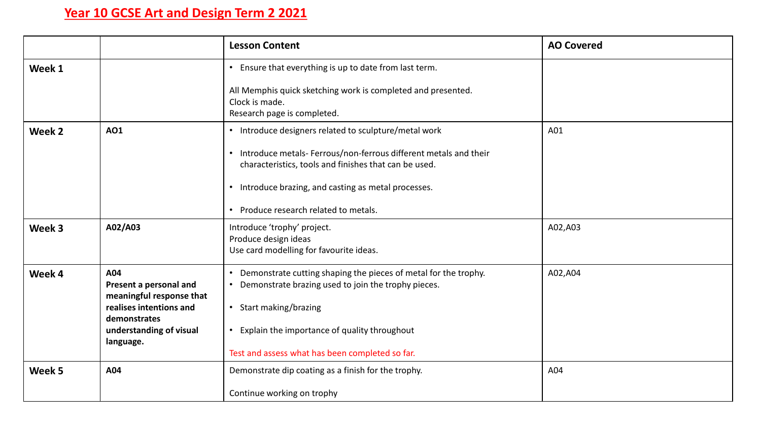## **Year 10 GCSE Art and Design Term 2 2021**

|        |                                                                                                                                              | <b>Lesson Content</b>                                                                                                                                                                                                                                                                    | <b>AO Covered</b> |
|--------|----------------------------------------------------------------------------------------------------------------------------------------------|------------------------------------------------------------------------------------------------------------------------------------------------------------------------------------------------------------------------------------------------------------------------------------------|-------------------|
| Week 1 |                                                                                                                                              | • Ensure that everything is up to date from last term.<br>All Memphis quick sketching work is completed and presented.<br>Clock is made.<br>Research page is completed.                                                                                                                  |                   |
| Week 2 | <b>AO1</b>                                                                                                                                   | • Introduce designers related to sculpture/metal work<br>• Introduce metals- Ferrous/non-ferrous different metals and their<br>characteristics, tools and finishes that can be used.<br>• Introduce brazing, and casting as metal processes.<br>• Produce research related to metals.    | A01               |
| Week 3 | A02/A03                                                                                                                                      | Introduce 'trophy' project.<br>Produce design ideas<br>Use card modelling for favourite ideas.                                                                                                                                                                                           | A02,A03           |
| Week 4 | A04<br>Present a personal and<br>meaningful response that<br>realises intentions and<br>demonstrates<br>understanding of visual<br>language. | Demonstrate cutting shaping the pieces of metal for the trophy.<br>Demonstrate brazing used to join the trophy pieces.<br>$\bullet$<br>Start making/brazing<br>$\bullet$<br>Explain the importance of quality throughout<br>$\bullet$<br>Test and assess what has been completed so far. | A02,A04           |
| Week 5 | A04                                                                                                                                          | Demonstrate dip coating as a finish for the trophy.<br>Continue working on trophy                                                                                                                                                                                                        | A04               |